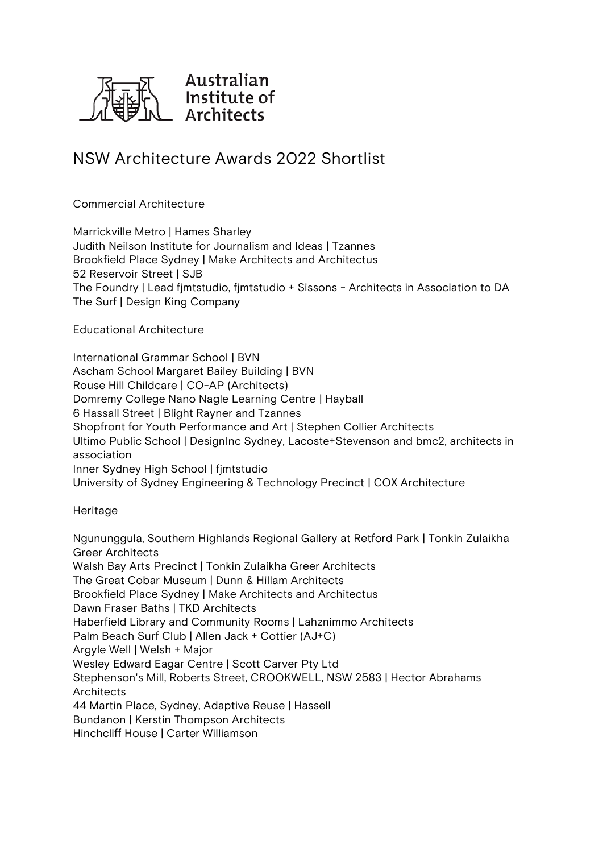

## **NSW Architecture Awards 2022 Shortlist**

## **Commercial Architecture**

**Marrickville Metro | Hames Sharley Judith Neilson Institute for Journalism and Ideas | Tzannes Brookfield Place Sydney | Make Architects and Architectus 52 Reservoir Street | SJB The Foundry | Lead fjmtstudio, fjmtstudio + Sissons - Architects in Association to DA The Surf | Design King Company**

**Educational Architecture**

**International Grammar School | BVN Ascham School Margaret Bailey Building | BVN Rouse Hill Childcare | CO-AP (Architects) Domremy College Nano Nagle Learning Centre | Hayball 6 Hassall Street | Blight Rayner and Tzannes Shopfront for Youth Performance and Art | Stephen Collier Architects Ultimo Public School | DesignInc Sydney, Lacoste+Stevenson and bmc2, architects in association Inner Sydney High School | fjmtstudio University of Sydney Engineering & Technology Precinct | COX Architecture**

**Heritage**

**Ngununggula, Southern Highlands Regional Gallery at Retford Park | Tonkin Zulaikha Greer Architects Walsh Bay Arts Precinct | Tonkin Zulaikha Greer Architects The Great Cobar Museum | Dunn & Hillam Architects Brookfield Place Sydney | Make Architects and Architectus Dawn Fraser Baths | TKD Architects Haberfield Library and Community Rooms | Lahznimmo Architects Palm Beach Surf Club | Allen Jack + Cottier (AJ+C) Argyle Well | Welsh + Major Wesley Edward Eagar Centre | Scott Carver Pty Ltd Stephenson's Mill, Roberts Street, CROOKWELL, NSW 2583 | Hector Abrahams Architects 44 Martin Place, Sydney, Adaptive Reuse | Hassell Bundanon | Kerstin Thompson Architects Hinchcliff House | Carter Williamson**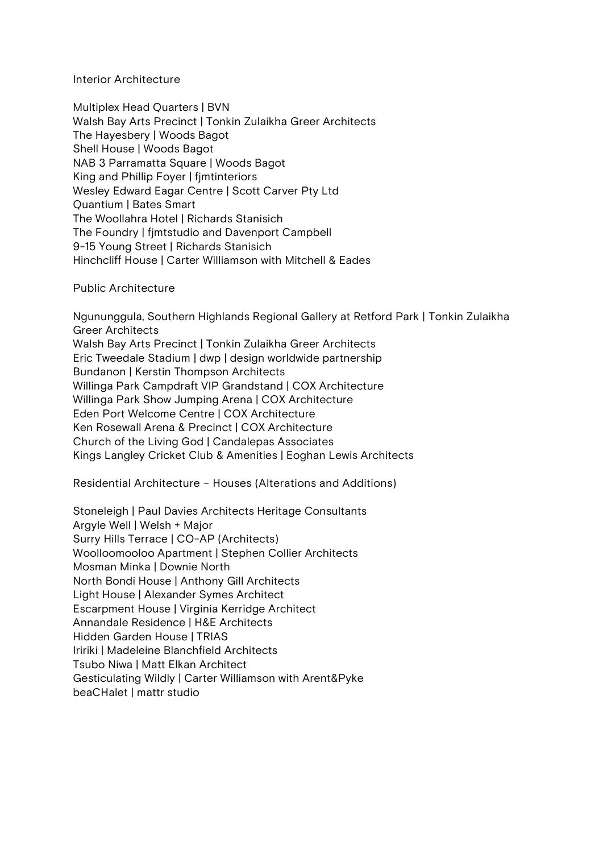**Interior Architecture**

**Multiplex Head Quarters | BVN Walsh Bay Arts Precinct | Tonkin Zulaikha Greer Architects The Hayesbery | Woods Bagot Shell House | Woods Bagot NAB 3 Parramatta Square | Woods Bagot King and Phillip Foyer | fjmtinteriors Wesley Edward Eagar Centre | Scott Carver Pty Ltd Quantium | Bates Smart The Woollahra Hotel | Richards Stanisich The Foundry | fjmtstudio and Davenport Campbell 9-15 Young Street | Richards Stanisich Hinchcliff House | Carter Williamson with Mitchell & Eades**

## **Public Architecture**

**Ngununggula, Southern Highlands Regional Gallery at Retford Park | Tonkin Zulaikha Greer Architects Walsh Bay Arts Precinct | Tonkin Zulaikha Greer Architects Eric Tweedale Stadium | dwp | design worldwide partnership Bundanon | Kerstin Thompson Architects Willinga Park Campdraft VIP Grandstand | COX Architecture Willinga Park Show Jumping Arena | COX Architecture Eden Port Welcome Centre | COX Architecture Ken Rosewall Arena & Precinct | COX Architecture Church of the Living God | Candalepas Associates Kings Langley Cricket Club & Amenities | Eoghan Lewis Architects**

**Residential Architecture – Houses (Alterations and Additions)**

**Stoneleigh | Paul Davies Architects Heritage Consultants Argyle Well | Welsh + Major Surry Hills Terrace | CO-AP (Architects) Woolloomooloo Apartment | Stephen Collier Architects Mosman Minka | Downie North North Bondi House | Anthony Gill Architects Light House | Alexander Symes Architect Escarpment House | Virginia Kerridge Architect Annandale Residence | H&E Architects Hidden Garden House | TRIAS Iririki | Madeleine Blanchfield Architects Tsubo Niwa | Matt Elkan Architect Gesticulating Wildly | Carter Williamson with Arent&Pyke beaCHalet | mattr studio**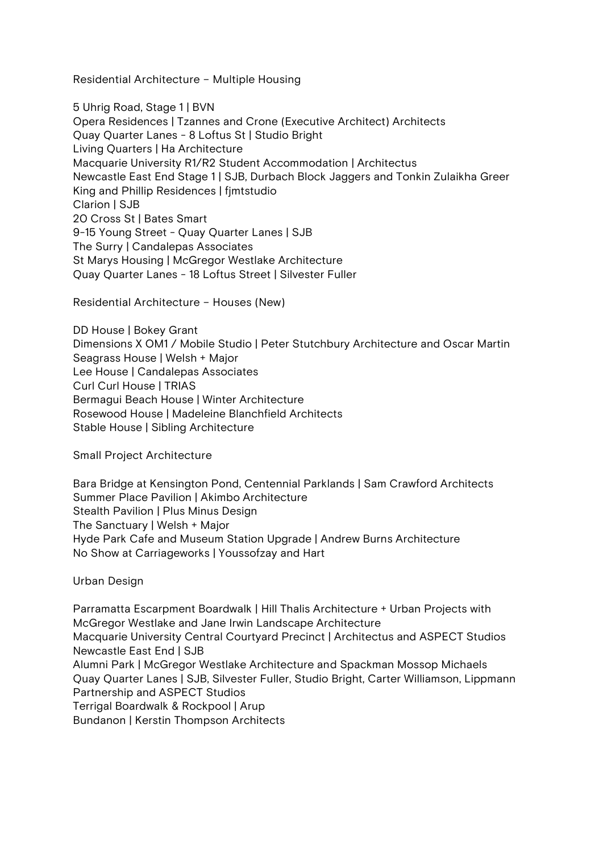**Residential Architecture – Multiple Housing**

**5 Uhrig Road, Stage 1 | BVN Opera Residences | Tzannes and Crone (Executive Architect) Architects Quay Quarter Lanes - 8 Loftus St | Studio Bright Living Quarters | Ha Architecture Macquarie University R1/R2 Student Accommodation | Architectus Newcastle East End Stage 1 | SJB, Durbach Block Jaggers and Tonkin Zulaikha Greer King and Phillip Residences | fjmtstudio Clarion | SJB 20 Cross St | Bates Smart 9-15 Young Street - Quay Quarter Lanes | SJB The Surry | Candalepas Associates St Marys Housing | McGregor Westlake Architecture Quay Quarter Lanes - 18 Loftus Street | Silvester Fuller**

**Residential Architecture – Houses (New)**

**DD House | Bokey Grant Dimensions X OM1 / Mobile Studio | Peter Stutchbury Architecture and Oscar Martin Seagrass House | Welsh + Major Lee House | Candalepas Associates Curl Curl House | TRIAS Bermagui Beach House | Winter Architecture Rosewood House | Madeleine Blanchfield Architects Stable House | Sibling Architecture**

**Small Project Architecture**

**Bara Bridge at Kensington Pond, Centennial Parklands | Sam Crawford Architects Summer Place Pavilion | Akimbo Architecture Stealth Pavilion | Plus Minus Design The Sanctuary | Welsh + Major Hyde Park Cafe and Museum Station Upgrade | Andrew Burns Architecture No Show at Carriageworks | Youssofzay and Hart**

**Urban Design**

**Parramatta Escarpment Boardwalk | Hill Thalis Architecture + Urban Projects with McGregor Westlake and Jane Irwin Landscape Architecture Macquarie University Central Courtyard Precinct | Architectus and ASPECT Studios Newcastle East End | SJB Alumni Park | McGregor Westlake Architecture and Spackman Mossop Michaels Quay Quarter Lanes | SJB, Silvester Fuller, Studio Bright, Carter Williamson, Lippmann Partnership and ASPECT Studios Terrigal Boardwalk & Rockpool | Arup Bundanon | Kerstin Thompson Architects**